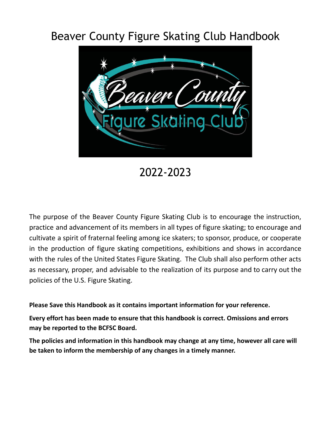# Beaver County Figure Skating Club Handbook



2022-2023

The purpose of the Beaver County Figure Skating Club is to encourage the instruction, practice and advancement of its members in all types of figure skating; to encourage and cultivate a spirit of fraternal feeling among ice skaters; to sponsor, produce, or cooperate in the production of figure skating competitions, exhibitions and shows in accordance with the rules of the United States Figure Skating. The Club shall also perform other acts as necessary, proper, and advisable to the realization of its purpose and to carry out the policies of the U.S. Figure Skating.

**Please Save this Handbook as it contains important information for your reference.**

**Every effort has been made to ensure that this handbook is correct. Omissions and errors may be reported to the BCFSC Board.**

**The policies and information in this handbook may change at any time, however all care will be taken to inform the membership of any changes in a timely manner.**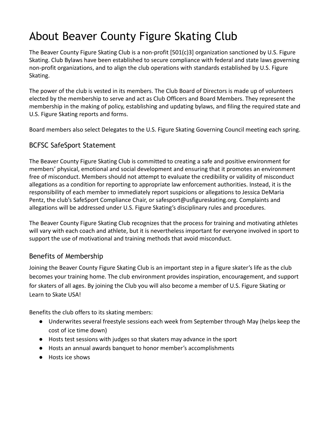# About Beaver County Figure Skating Club

The Beaver County Figure Skating Club is a non-profit [501(c)3] organization sanctioned by U.S. Figure Skating. Club Bylaws have been established to secure compliance with federal and state laws governing non-profit organizations, and to align the club operations with standards established by U.S. Figure Skating.

The power of the club is vested in its members. The Club Board of Directors is made up of volunteers elected by the membership to serve and act as Club Officers and Board Members. They represent the membership in the making of policy, establishing and updating bylaws, and filing the required state and U.S. Figure Skating reports and forms.

Board members also select Delegates to the U.S. Figure Skating Governing Council meeting each spring.

# BCFSC SafeSport Statement

The Beaver County Figure Skating Club is committed to creating a safe and positive environment for members' physical, emotional and social development and ensuring that it promotes an environment free of misconduct. Members should not attempt to evaluate the credibility or validity of misconduct allegations as a condition for reporting to appropriate law enforcement authorities. Instead, it is the responsibility of each member to immediately report suspicions or allegations to Jessica DeMaria Pentz, the club's SafeSport Compliance Chair, or safesport@usfigureskating.org. Complaints and allegations will be addressed under U.S. Figure Skating's disciplinary rules and procedures.

The Beaver County Figure Skating Club recognizes that the process for training and motivating athletes will vary with each coach and athlete, but it is nevertheless important for everyone involved in sport to support the use of motivational and training methods that avoid misconduct.

## Benefits of Membership

Joining the Beaver County Figure Skating Club is an important step in a figure skater's life as the club becomes your training home. The club environment provides inspiration, encouragement, and support for skaters of all ages. By joining the Club you will also become a member of U.S. Figure Skating or Learn to Skate USA!

Benefits the club offers to its skating members:

- Underwrites several freestyle sessions each week from September through May (helps keep the cost of ice time down)
- Hosts test sessions with judges so that skaters may advance in the sport
- Hosts an annual awards banquet to honor member's accomplishments
- Hosts ice shows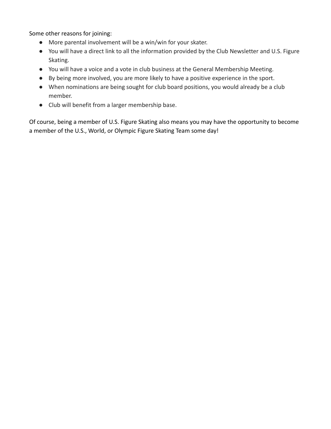Some other reasons for joining:

- More parental involvement will be a win/win for your skater.
- You will have a direct link to all the information provided by the Club Newsletter and U.S. Figure Skating.
- You will have a voice and a vote in club business at the General Membership Meeting.
- By being more involved, you are more likely to have a positive experience in the sport.
- When nominations are being sought for club board positions, you would already be a club member.
- Club will benefit from a larger membership base.

Of course, being a member of U.S. Figure Skating also means you may have the opportunity to become a member of the U.S., World, or Olympic Figure Skating Team some day!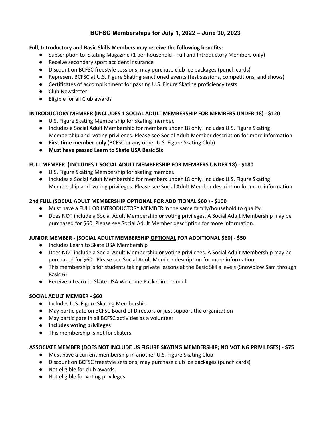## **BCFSC Memberships for July 1, 2022 – June 30, 2023**

#### **Full, Introductory and Basic Skills Members may receive the following benefits:**

- Subscription to Skating Magazine (1 per household Full and Introductory Members only)
- Receive secondary sport accident insurance
- Discount on BCFSC freestyle sessions; may purchase club ice packages (punch cards)
- Represent BCFSC at U.S. Figure Skating sanctioned events (test sessions, competitions, and shows)
- Certificates of accomplishment for passing U.S. Figure Skating proficiency tests
- Club Newsletter
- Eligible for all Club awards

#### **INTRODUCTORY MEMBER (INCLUDES 1 SOCIAL ADULT MEMBERSHIP FOR MEMBERS UNDER 18) - \$120**

- U.S. Figure Skating Membership for skating member.
- Includes a Social Adult Membership for members under 18 only. Includes U.S. Figure Skating Membership and voting privileges. Please see Social Adult Member description for more information.
- **First time member only** (BCFSC or any other U.S. Figure Skating Club)
- **Must have passed Learn to Skate USA Basic Six**

#### **FULL MEMBER (INCLUDES 1 SOCIAL ADULT MEMBERSHIP FOR MEMBERS UNDER 18) - \$180**

- U.S. Figure Skating Membership for skating member.
- Includes a Social Adult Membership for members under 18 only. Includes U.S. Figure Skating Membership and voting privileges. Please see Social Adult Member description for more information.

#### **2nd FULL (SOCIAL ADULT MEMBERSHIP OPTIONAL FOR ADDITIONAL \$60 ) - \$100**

- Must have a FULL OR INTRODUCTORY MEMBER in the same family/household to qualify.
- Does NOT include a Social Adult Membership **or** voting privileges. A Social Adult Membership may be purchased for \$60. Please see Social Adult Member description for more information.

#### **JUNIOR MEMBER - (SOCIAL ADULT MEMBERSHIP OPTIONAL FOR ADDITIONAL \$60)** - **\$50**

- Includes Learn to Skate USA Membership
- Does NOT include a Social Adult Membership **or** voting privileges. A Social Adult Membership may be purchased for \$60. Please see Social Adult Member description for more information.
- This membership is for students taking private lessons at the Basic Skills levels (Snowplow Sam through Basic 6)
- Receive a Learn to Skate USA Welcome Packet in the mail

#### **SOCIAL ADULT MEMBER - \$60**

- Includes U.S. Figure Skating Membership
- May participate on BCFSC Board of Directors or just support the organization
- May participate in all BCFSC activities as a volunteer
- **● Includes voting privileges**
- This membership is not for skaters

#### **ASSOCIATE MEMBER (DOES NOT INCLUDE US FIGURE SKATING MEMBERSHIP; NO VOTING PRIVILEGES)** - **\$75**

- Must have a current membership in another U.S. Figure Skating Club
- Discount on BCFSC freestyle sessions; may purchase club ice packages (punch cards)
- Not eligible for club awards.
- Not eligible for voting privileges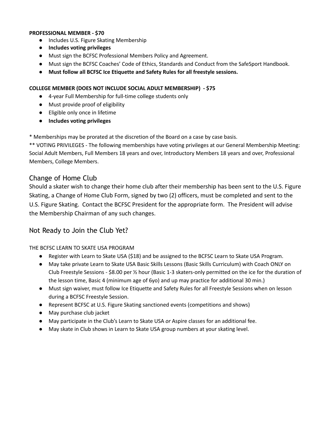#### **PROFESSIONAL MEMBER - \$70**

- Includes U.S. Figure Skating Membership
- **● Includes voting privileges**
- Must sign the BCFSC Professional Members Policy and Agreement.
- Must sign the BCFSC Coaches' Code of Ethics, Standards and Conduct from the SafeSport Handbook.
- **● Must follow all BCFSC Ice Etiquette and Safety Rules for all freestyle sessions.**

#### **COLLEGE MEMBER (DOES NOT INCLUDE SOCIAL ADULT MEMBERSHIP) - \$75**

- 4-year Full Membership for full-time college students only
- Must provide proof of eligibility
- Eligible only once in lifetime
- **● Includes voting privileges**

\* Memberships may be prorated at the discretion of the Board on a case by case basis.

\*\* VOTING PRIVILEGES - The following memberships have voting privileges at our General Membership Meeting: Social Adult Members, Full Members 18 years and over, Introductory Members 18 years and over, Professional Members, College Members.

### Change of Home Club

Should a skater wish to change their home club after their membership has been sent to the U.S. Figure Skating, a Change of Home Club Form, signed by two (2) officers, must be completed and sent to the U.S. Figure Skating. Contact the BCFSC President for the appropriate form. The President will advise the Membership Chairman of any such changes.

### Not Ready to Join the Club Yet?

THE BCFSC LEARN TO SKATE USA PROGRAM

- Register with Learn to Skate USA (\$18) and be assigned to the BCFSC Learn to Skate USA Program.
- May take private Learn to Skate USA Basic Skills Lessons (Basic Skills Curriculum) with Coach ONLY on Club Freestyle Sessions - \$8.00 per ½ hour (Basic 1-3 skaters-only permitted on the ice for the duration of the lesson time, Basic 4 (minimum age of 6yo) and up may practice for additional 30 min.)
- Must sign waiver, must follow Ice Etiquette and Safety Rules for all Freestyle Sessions when on lesson during a BCFSC Freestyle Session.
- Represent BCFSC at U.S. Figure Skating sanctioned events (competitions and shows)
- May purchase club jacket
- May participate in the Club's Learn to Skate USA *or* Aspire classes for an additional fee.
- May skate in Club shows in Learn to Skate USA group numbers at your skating level.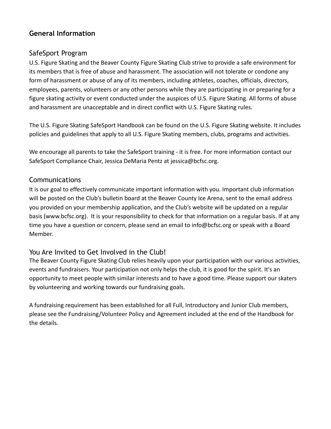# **General Information**

## SafeSport Program

U.S. Figure Skating and the Beaver County Figure Skating Club strive to provide a safe environment for its members that is free of abuse and harassment. The association will not tolerate or condone any form of harassment or abuse of any of its members, including athletes, coaches, officials, directors, employees, parents, volunteers or any other persons while they are participating in or preparing for a figure skating activity or event conducted under the auspices of U.S. Figure Skating. All forms of abuse and harassment are unacceptable and in direct conflict with U.S. Figure Skating rules.

The U.S. Figure Skating SafeSport Handbook can be found on the U.S. Figure Skating website. It includes policies and guidelines that apply to all U.S. Figure Skating members, clubs, programs and activities.

We encourage all parents to take the SafeSport training - it is free. For more information contact our SafeSport Compliance Chair, Jessica DeMaria Pentz at jessica@bcfsc.org.

## **Communications**

It is our goal to effectively communicate important information with you. Important club information will be posted on the Club's bulletin board at the Beaver County Ice Arena, sent to the email address you provided on your membership application, and the Club's website will be updated on a regular basis (www.bcfsc.org). It is your responsibility to check for that information on a regular basis. If at any time you have a question or concern, please send an email to info@bcfsc.org or speak with a Board Member.

## You Are Invited to Get Involved in the Club!

The Beaver County Figure Skating Club relies heavily upon your participation with our various activities, events and fundraisers. Your participation not only helps the club, it is good for the spirit. It's an opportunity to meet people with similar interests and to have a good time. Please support our skaters by volunteering and working towards our fundraising goals.

A fundraising requirement has been established for all Full, Introductory and Junior Club members, please see the Fundraising/Volunteer Policy and Agreement included at the end of the Handbook for the details.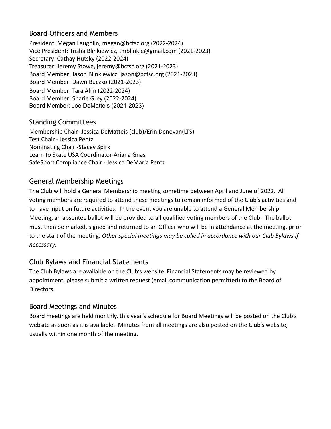# Board Officers and Members

President: Megan Laughlin, megan@bcfsc.org (2022-2024) Vice President: Trisha Blinkiewicz, tmblinkie@gmail.com (2021-2023) Secretary: Cathay Hutsky (2022-2024) Treasurer: Jeremy Stowe, jeremy@bcfsc.org (2021-2023) Board Member: Jason Blinkiewicz, jason@bcfsc.org (2021-2023) Board Member: Dawn Buczko (2021-2023) Board Member: Tara Akin (2022-2024) Board Member: Sharie Grey (2022-2024) Board Member: Joe DeMatteis (2021-2023)

## Standing Committees

Membership Chair -Jessica DeMatteis (club)/Erin Donovan(LTS) Test Chair - Jessica Pentz Nominating Chair -Stacey Spirk Learn to Skate USA Coordinator-Ariana Gnas SafeSport Compliance Chair - Jessica DeMaria Pentz

## General Membership Meetings

The Club will hold a General Membership meeting sometime between April and June of 2022. All voting members are required to attend these meetings to remain informed of the Club's activities and to have input on future activities. In the event you are unable to attend a General Membership Meeting, an absentee ballot will be provided to all qualified voting members of the Club. The ballot must then be marked, signed and returned to an Officer who will be in attendance at the meeting, prior to the start of the meeting. *Other special meetings may be called in accordance with our Club Bylaws if necessary*.

## Club Bylaws and Financial Statements

The Club Bylaws are available on the Club's website. Financial Statements may be reviewed by appointment, please submit a written request (email communication permitted) to the Board of Directors.

## Board Meetings and Minutes

Board meetings are held monthly, this year's schedule for Board Meetings will be posted on the Club's website as soon as it is available. Minutes from all meetings are also posted on the Club's website, usually within one month of the meeting.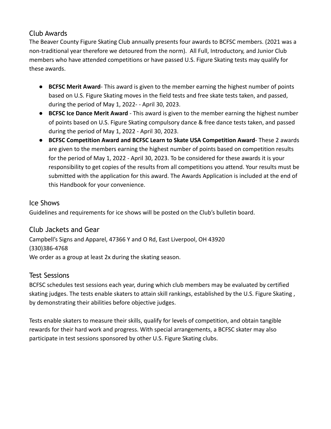# Club Awards

The Beaver County Figure Skating Club annually presents four awards to BCFSC members. (2021 was a non-traditional year therefore we detoured from the norm). All Full, Introductory, and Junior Club members who have attended competitions or have passed U.S. Figure Skating tests may qualify for these awards.

- **BCFSC Merit Award** This award is given to the member earning the highest number of points based on U.S. Figure Skating moves in the field tests and free skate tests taken, and passed, during the period of May 1, 2022- - April 30, 2023.
- **BCFSC Ice Dance Merit Award** This award is given to the member earning the highest number of points based on U.S. Figure Skating compulsory dance & free dance tests taken, and passed during the period of May 1, 2022 - April 30, 2023.
- **BCFSC Competition Award and BCFSC Learn to Skate USA Competition Award** These 2 awards are given to the members earning the highest number of points based on competition results for the period of May 1, 2022 - April 30, 2023. To be considered for these awards it is your responsibility to get copies of the results from all competitions you attend. Your results must be submitted with the application for this award. The Awards Application is included at the end of this Handbook for your convenience.

## Ice Shows

Guidelines and requirements for ice shows will be posted on the Club's bulletin board.

# Club Jackets and Gear

Campbell's Signs and Apparel, 47366 Y and O Rd, East Liverpool, OH 43920 (330)386-4768 We order as a group at least 2x during the skating season.

## Test Sessions

BCFSC schedules test sessions each year, during which club members may be evaluated by certified skating judges. The tests enable skaters to attain skill rankings, established by the U.S. Figure Skating , by demonstrating their abilities before objective judges.

Tests enable skaters to measure their skills, qualify for levels of competition, and obtain tangible rewards for their hard work and progress. With special arrangements, a BCFSC skater may also participate in test sessions sponsored by other U.S. Figure Skating clubs.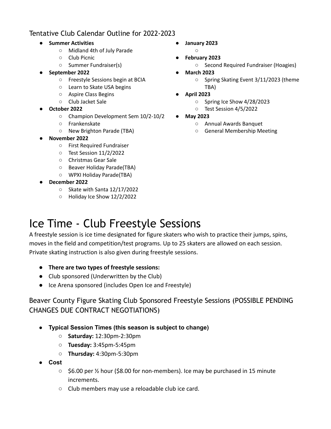# Tentative Club Calendar Outline for 2022-2023

- **● Summer Activities**
	- Midland 4th of July Parade
	- Club Picnic
	- Summer Fundraiser(s)
- **● September 2022**
	- Freestyle Sessions begin at BCIA
	- Learn to Skate USA begins
	- Aspire Class Begins
	- Club Jacket Sale
- **October 2022**
	- Champion Development Sem 10/2-10/2
	- Frankenskate
		- New Brighton Parade (TBA)
- **November 2022**
	- First Required Fundraiser
	- Test Session 11/2/2022
	- Christmas Gear Sale
	- Beaver Holiday Parade(TBA)
	- WPXI Holiday Parade(TBA)
- **December 2022**
	- Skate with Santa 12/17/2022
	- Holiday Ice Show 12/2/2022
- **● January 2023**  $\circ$
- **February 2023**
	- Second Required Fundraiser (Hoagies)
- **● March 2023**
	- **○** Spring Skating Event 3/11/2023 (theme TBA)
- **April 2023**
	- Spring Ice Show 4/28/2023
	- Test Session 4/5/2022
- **May 2023**
	- Annual Awards Banquet
	- General Membership Meeting

# Ice Time - Club Freestyle Sessions

A freestyle session is ice time designated for figure skaters who wish to practice their jumps, spins, moves in the field and competition/test programs. Up to 25 skaters are allowed on each session. Private skating instruction is also given during freestyle sessions.

- **● There are two types of freestyle sessions:**
- Club sponsored (Underwritten by the Club)
- Ice Arena sponsored (includes Open Ice and Freestyle)

# Beaver County Figure Skating Club Sponsored Freestyle Sessions (POSSIBLE PENDING CHANGES DUE CONTRACT NEGOTIATIONS)

- **● Typical Session Times (this season is subject to change)**
	- **Saturday:** 12:30pm-2:30pm
	- **Tuesday:** 3:45pm-5:45pm
	- **Thursday:** 4:30pm-5:30pm
- **● Cost**
	- \$6.00 per ½ hour (\$8.00 for non-members). Ice may be purchased in 15 minute increments.
	- Club members may use a reloadable club ice card.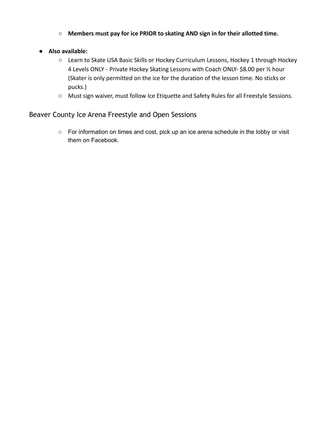- **Members must pay for ice PRIOR to skating AND sign in for their allotted time.**
- **● Also available:**
	- Learn to Skate USA Basic Skills or Hockey Curriculum Lessons, Hockey 1 through Hockey 4 Levels ONLY - Private Hockey Skating Lessons with Coach ONLY- \$8.00 per ½ hour (Skater is only permitted on the ice for the duration of the lesson time. No sticks or pucks.)
	- Must sign waiver, must follow Ice Etiquette and Safety Rules for all Freestyle Sessions.

Beaver County Ice Arena Freestyle and Open Sessions

○ For information on times and cost, pick up an ice arena schedule in the lobby or visit them on Facebook.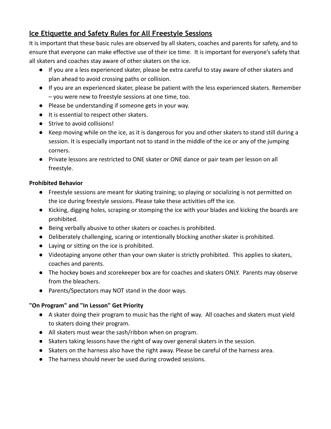# **Ice Etiquette and Safety Rules for All Freestyle Sessions**

It is important that these basic rules are observed by all skaters, coaches and parents for safety, and to ensure that everyone can make effective use of their ice time. It is important for everyone's safety that all skaters and coaches stay aware of other skaters on the ice.

- If you are a less experienced skater, please be extra careful to stay aware of other skaters and plan ahead to avoid crossing paths or collision.
- If you are an experienced skater, please be patient with the less experienced skaters. Remember – you were new to freestyle sessions at one time, too.
- Please be understanding if someone gets in your way.
- It is essential to respect other skaters.
- Strive to avoid collisions!
- Keep moving while on the ice, as it is dangerous for you and other skaters to stand still during a session. It is especially important not to stand in the middle of the ice or any of the jumping corners.
- Private lessons are restricted to ONE skater or ONE dance or pair team per lesson on all freestyle.

## **Prohibited Behavior**

- Freestyle sessions are meant for skating training; so playing or socializing is not permitted on the ice during freestyle sessions. Please take these activities off the ice.
- Kicking, digging holes, scraping or stomping the ice with your blades and kicking the boards are prohibited.
- Being verbally abusive to other skaters or coaches is prohibited.
- Deliberately challenging, scaring or intentionally blocking another skater is prohibited.
- Laying or sitting on the ice is prohibited.
- Videotaping anyone other than your own skater is strictly prohibited. This applies to skaters, coaches and parents.
- The hockey boxes and scorekeeper box are for coaches and skaters ONLY. Parents may observe from the bleachers.
- Parents/Spectators may NOT stand in the door ways.

## **"On Program" and "In Lesson" Get Priority**

- A skater doing their program to music has the right of way. All coaches and skaters must yield to skaters doing their program.
- All skaters must wear the sash/ribbon when on program.
- Skaters taking lessons have the right of way over general skaters in the session.
- Skaters on the harness also have the right away. Please be careful of the harness area.
- The harness should never be used during crowded sessions.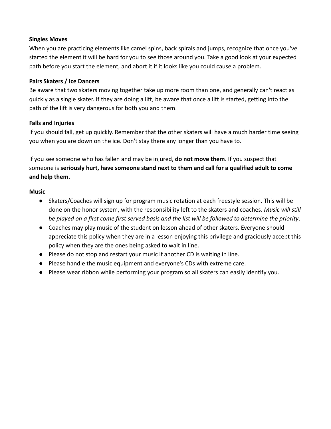#### **Singles Moves**

When you are practicing elements like camel spins, back spirals and jumps, recognize that once you've started the element it will be hard for you to see those around you. Take a good look at your expected path before you start the element, and abort it if it looks like you could cause a problem.

#### **Pairs Skaters / Ice Dancers**

Be aware that two skaters moving together take up more room than one, and generally can't react as quickly as a single skater. If they are doing a lift, be aware that once a lift is started, getting into the path of the lift is very dangerous for both you and them.

### **Falls and Injuries**

If you should fall, get up quickly. Remember that the other skaters will have a much harder time seeing you when you are down on the ice. Don't stay there any longer than you have to.

If you see someone who has fallen and may be injured, **do not move them**. If you suspect that someone is **seriously hurt, have someone stand next to them and call for a qualified adult to come and help them.**

#### **Music**

- Skaters/Coaches will sign up for program music rotation at each freestyle session. This will be done on the honor system, with the responsibility left to the skaters and coaches. *Music will still be played on a first come first served basis and the list will be followed to determine the priority*.
- Coaches may play music of the student on lesson ahead of other skaters. Everyone should appreciate this policy when they are in a lesson enjoying this privilege and graciously accept this policy when they are the ones being asked to wait in line.
- Please do not stop and restart your music if another CD is waiting in line.
- Please handle the music equipment and everyone's CDs with extreme care.
- Please wear ribbon while performing your program so all skaters can easily identify you.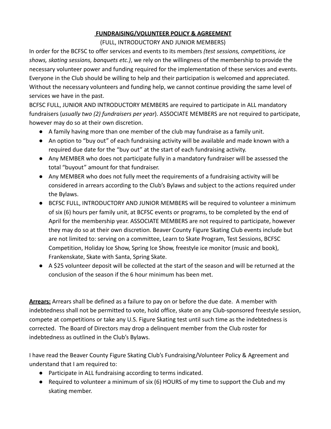## **FUNDRAISING/VOLUNTEER POLICY & AGREEMENT**

(FULL, INTRODUCTORY AND JUNIOR MEMBERS)

In order for the BCFSC to offer services and events to its members *(test sessions, competitions, ice shows, skating sessions, banquets etc.)*, we rely on the willingness of the membership to provide the necessary volunteer power and funding required for the implementation of these services and events. Everyone in the Club should be willing to help and their participation is welcomed and appreciated. Without the necessary volunteers and funding help, we cannot continue providing the same level of services we have in the past.

BCFSC FULL, JUNIOR AND INTRODUCTORY MEMBERS are required to participate in ALL mandatory fundraisers (*usually two (2) fundraisers per year*). ASSOCIATE MEMBERS are not required to participate, however may do so at their own discretion.

- A family having more than one member of the club may fundraise as a family unit.
- An option to "buy out" of each fundraising activity will be available and made known with a required due date for the "buy out" at the start of each fundraising activity.
- Any MEMBER who does not participate fully in a mandatory fundraiser will be assessed the total "buyout" amount for that fundraiser.
- Any MEMBER who does not fully meet the requirements of a fundraising activity will be considered in arrears according to the Club's Bylaws and subject to the actions required under the Bylaws.
- BCFSC FULL, INTRODUCTORY AND JUNIOR MEMBERS will be required to volunteer a minimum of six (6) hours per family unit, at BCFSC events or programs, to be completed by the end of April for the membership year. ASSOCIATE MEMBERS are not required to participate, however they may do so at their own discretion. Beaver County Figure Skating Club events include but are not limited to: serving on a committee, Learn to Skate Program, Test Sessions, BCFSC Competition, Holiday Ice Show, Spring Ice Show, freestyle ice monitor (music and book), Frankenskate, Skate with Santa, Spring Skate.
- A \$25 volunteer deposit will be collected at the start of the season and will be returned at the conclusion of the season if the 6 hour minimum has been met.

**Arrears:** Arrears shall be defined as a failure to pay on or before the due date. A member with indebtedness shall not be permitted to vote, hold office, skate on any Club-sponsored freestyle session, compete at competitions or take any U.S. Figure Skating test until such time as the indebtedness is corrected. The Board of Directors may drop a delinquent member from the Club roster for indebtedness as outlined in the Club's Bylaws.

I have read the Beaver County Figure Skating Club's Fundraising/Volunteer Policy & Agreement and understand that I am required to:

- Participate in ALL fundraising according to terms indicated.
- Required to volunteer a minimum of six (6) HOURS of my time to support the Club and my skating member.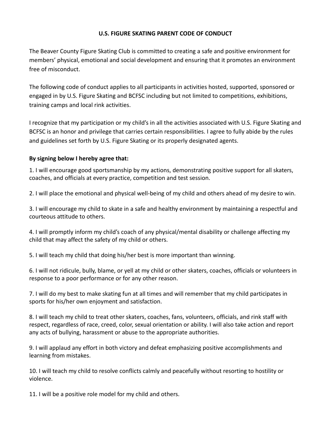#### **U.S. FIGURE SKATING PARENT CODE OF CONDUCT**

The Beaver County Figure Skating Club is committed to creating a safe and positive environment for members' physical, emotional and social development and ensuring that it promotes an environment free of misconduct.

The following code of conduct applies to all participants in activities hosted, supported, sponsored or engaged in by U.S. Figure Skating and BCFSC including but not limited to competitions, exhibitions, training camps and local rink activities.

I recognize that my participation or my child's in all the activities associated with U.S. Figure Skating and BCFSC is an honor and privilege that carries certain responsibilities. I agree to fully abide by the rules and guidelines set forth by U.S. Figure Skating or its properly designated agents.

#### **By signing below I hereby agree that:**

1. I will encourage good sportsmanship by my actions, demonstrating positive support for all skaters, coaches, and officials at every practice, competition and test session.

2. I will place the emotional and physical well-being of my child and others ahead of my desire to win.

3. I will encourage my child to skate in a safe and healthy environment by maintaining a respectful and courteous attitude to others.

4. I will promptly inform my child's coach of any physical/mental disability or challenge affecting my child that may affect the safety of my child or others.

5. I will teach my child that doing his/her best is more important than winning.

6. I will not ridicule, bully, blame, or yell at my child or other skaters, coaches, officials or volunteers in response to a poor performance or for any other reason.

7. I will do my best to make skating fun at all times and will remember that my child participates in sports for his/her own enjoyment and satisfaction.

8. I will teach my child to treat other skaters, coaches, fans, volunteers, officials, and rink staff with respect, regardless of race, creed, color, sexual orientation or ability. I will also take action and report any acts of bullying, harassment or abuse to the appropriate authorities.

9. I will applaud any effort in both victory and defeat emphasizing positive accomplishments and learning from mistakes.

10. I will teach my child to resolve conflicts calmly and peacefully without resorting to hostility or violence.

11. I will be a positive role model for my child and others.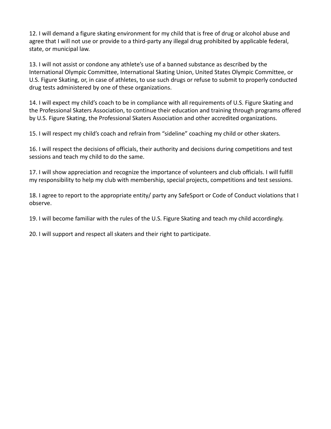12. I will demand a figure skating environment for my child that is free of drug or alcohol abuse and agree that I will not use or provide to a third-party any illegal drug prohibited by applicable federal, state, or municipal law.

13. I will not assist or condone any athlete's use of a banned substance as described by the International Olympic Committee, International Skating Union, United States Olympic Committee, or U.S. Figure Skating, or, in case of athletes, to use such drugs or refuse to submit to properly conducted drug tests administered by one of these organizations.

14. I will expect my child's coach to be in compliance with all requirements of U.S. Figure Skating and the Professional Skaters Association, to continue their education and training through programs offered by U.S. Figure Skating, the Professional Skaters Association and other accredited organizations.

15. I will respect my child's coach and refrain from "sideline" coaching my child or other skaters.

16. I will respect the decisions of officials, their authority and decisions during competitions and test sessions and teach my child to do the same.

17. I will show appreciation and recognize the importance of volunteers and club officials. I will fulfill my responsibility to help my club with membership, special projects, competitions and test sessions.

18. I agree to report to the appropriate entity/ party any SafeSport or Code of Conduct violations that I observe.

19. I will become familiar with the rules of the U.S. Figure Skating and teach my child accordingly.

20. I will support and respect all skaters and their right to participate.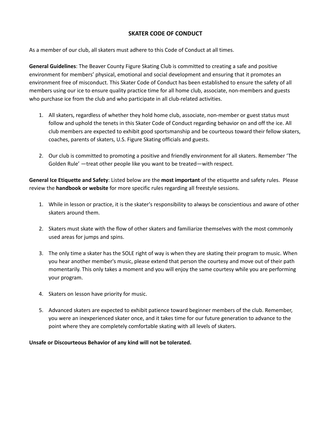#### **SKATER CODE OF CONDUCT**

As a member of our club, all skaters must adhere to this Code of Conduct at all times.

**General Guidelines**: The Beaver County Figure Skating Club is committed to creating a safe and positive environment for members' physical, emotional and social development and ensuring that it promotes an environment free of misconduct. This Skater Code of Conduct has been established to ensure the safety of all members using our ice to ensure quality practice time for all home club, associate, non-members and guests who purchase ice from the club and who participate in all club-related activities.

- 1. All skaters, regardless of whether they hold home club, associate, non-member or guest status must follow and uphold the tenets in this Skater Code of Conduct regarding behavior on and off the ice. All club members are expected to exhibit good sportsmanship and be courteous toward their fellow skaters, coaches, parents of skaters, U.S. Figure Skating officials and guests.
- 2. Our club is committed to promoting a positive and friendly environment for all skaters. Remember 'The Golden Rule' —treat other people like you want to be treated—with respect.

**General Ice Etiquette and Safety**: Listed below are the **most important** of the etiquette and safety rules. Please review the **handbook or website** for more specific rules regarding all freestyle sessions.

- 1. While in lesson or practice, it is the skater's responsibility to always be conscientious and aware of other skaters around them.
- 2. Skaters must skate with the flow of other skaters and familiarize themselves with the most commonly used areas for jumps and spins.
- 3. The only time a skater has the SOLE right of way is when they are skating their program to music. When you hear another member's music, please extend that person the courtesy and move out of their path momentarily. This only takes a moment and you will enjoy the same courtesy while you are performing your program.
- 4. Skaters on lesson have priority for music.
- 5. Advanced skaters are expected to exhibit patience toward beginner members of the club. Remember, you were an inexperienced skater once, and it takes time for our future generation to advance to the point where they are completely comfortable skating with all levels of skaters.

**Unsafe or Discourteous Behavior of any kind will not be tolerated.**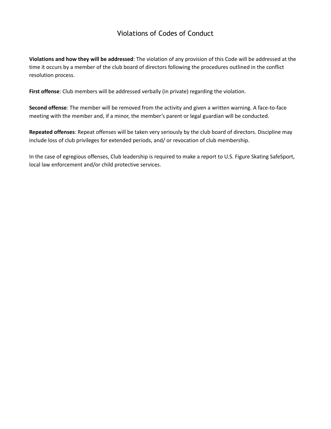# Violations of Codes of Conduct

**Violations and how they will be addressed**: The violation of any provision of this Code will be addressed at the time it occurs by a member of the club board of directors following the procedures outlined in the conflict resolution process.

**First offense**: Club members will be addressed verbally (in private) regarding the violation.

**Second offense**: The member will be removed from the activity and given a written warning. A face-to-face meeting with the member and, if a minor, the member's parent or legal guardian will be conducted.

**Repeated offenses**: Repeat offenses will be taken very seriously by the club board of directors. Discipline may include loss of club privileges for extended periods, and/ or revocation of club membership.

In the case of egregious offenses, Club leadership is required to make a report to U.S. Figure Skating SafeSport, local law enforcement and/or child protective services.